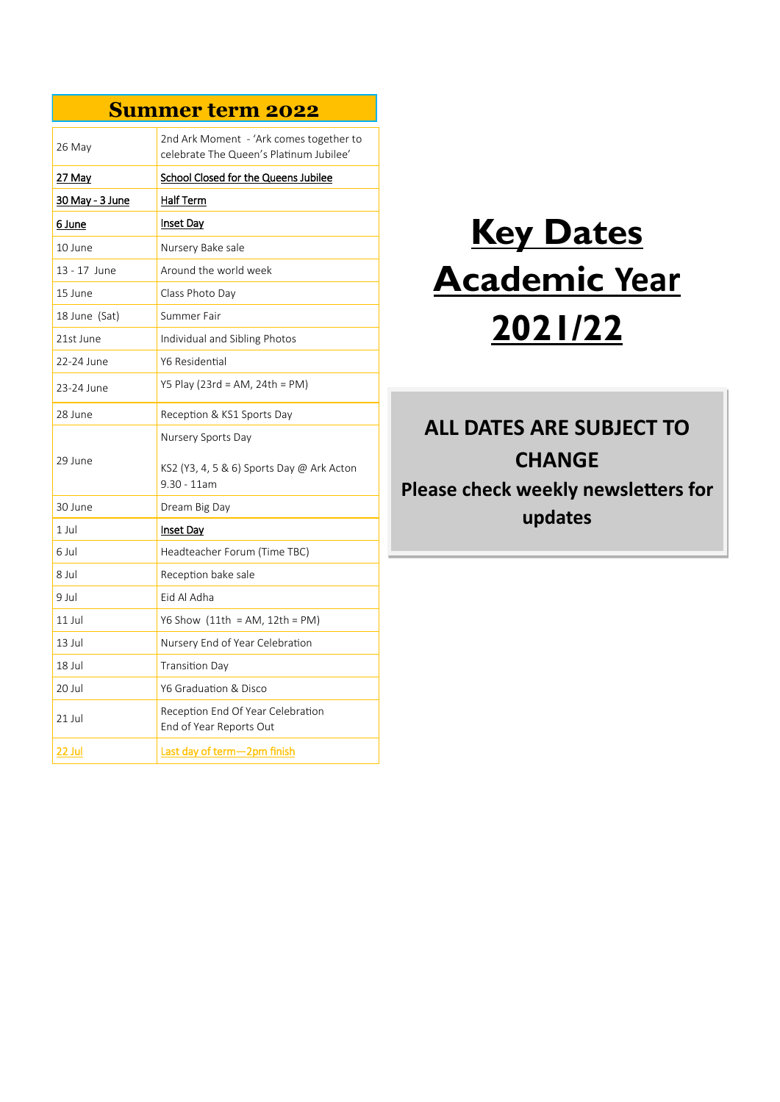## **Summer term 2022**

| 26 May          | 2nd Ark Moment - 'Ark comes together to<br>celebrate The Queen's Platinum Jubilee' |
|-----------------|------------------------------------------------------------------------------------|
| 27 May          | <b>School Closed for the Queens Jubilee</b>                                        |
| 30 May - 3 June | Half Term                                                                          |
| 6 June          | <u>Inset Day</u>                                                                   |
| 10 June         | Nursery Bake sale                                                                  |
| 13 - 17 June    | Around the world week                                                              |
| 15 June         | Class Photo Day                                                                    |
| 18 June (Sat)   | Summer Fair                                                                        |
| 21st June       | Individual and Sibling Photos                                                      |
| 22-24 June      | Y6 Residential                                                                     |
| 23-24 June      | Y5 Play (23rd = AM, 24th = PM)                                                     |
| 28 June         | Reception & KS1 Sports Day                                                         |
| 29 June         | Nursery Sports Day<br>KS2 (Y3, 4, 5 & 6) Sports Day @ Ark Acton<br>$9.30 - 11$ am  |
| 30 June         | Dream Big Day                                                                      |
| $1$ Jul         | <b>Inset Day</b>                                                                   |
| 6 Jul           | Headteacher Forum (Time TBC)                                                       |
| 8 Jul           | Reception bake sale                                                                |
| 9 Jul           | Eid Al Adha                                                                        |
| $11$ Jul        | Y6 Show $(11th = AM, 12th = PM)$                                                   |
| $13$ Jul        | Nursery End of Year Celebration                                                    |
| 18 Jul          | Transition Day                                                                     |
| 20 Jul          | Y6 Graduation & Disco                                                              |
| 21 Jul          | Reception End Of Year Celebration<br>End of Year Reports Out                       |
| 22 Jul          | Last day of term-2pm finish                                                        |

# **Key Dates Academic Year 2021/22**

# **ALL DATES ARE SUBJECT TO CHANGE Please check weekly newsletters for updates**